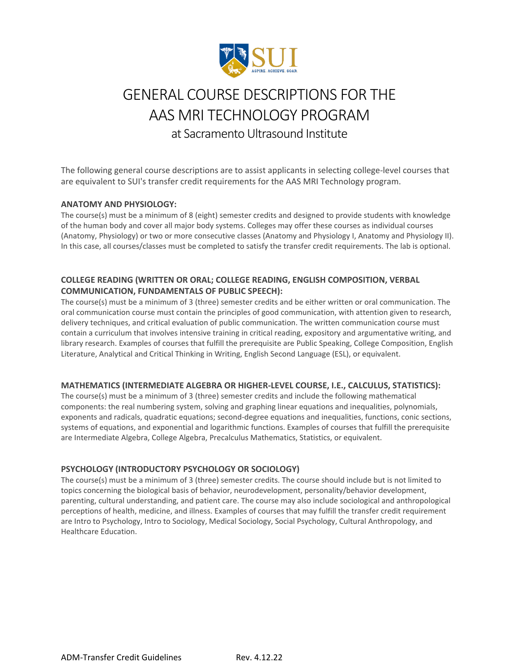

# GENERAL COURSE DESCRIPTIONS FOR THE AAS MRI TECHNOLOGY PROGRAM at Sacramento Ultrasound Institute

The following general course descriptions are to assist applicants in selecting college-level courses that are equivalent to SUI's transfer credit requirements for the AAS MRI Technology program.

### **ANATOMY AND PHYSIOLOGY:**

The course(s) must be a minimum of 8 (eight) semester credits and designed to provide students with knowledge of the human body and cover all major body systems. Colleges may offer these courses as individual courses (Anatomy, Physiology) or two or more consecutive classes (Anatomy and Physiology I, Anatomy and Physiology II). In this case, all courses/classes must be completed to satisfy the transfer credit requirements. The lab is optional.

## **COLLEGE READING (WRITTEN OR ORAL; COLLEGE READING, ENGLISH COMPOSITION, VERBAL COMMUNICATION, FUNDAMENTALS OF PUBLIC SPEECH):**

The course(s) must be a minimum of 3 (three) semester credits and be either written or oral communication. The oral communication course must contain the principles of good communication, with attention given to research, delivery techniques, and critical evaluation of public communication. The written communication course must contain a curriculum that involves intensive training in critical reading, expository and argumentative writing, and library research. Examples of courses that fulfill the prerequisite are Public Speaking, College Composition, English Literature, Analytical and Critical Thinking in Writing, English Second Language (ESL), or equivalent.

#### **MATHEMATICS (INTERMEDIATE ALGEBRA OR HIGHER-LEVEL COURSE, I.E., CALCULUS, STATISTICS):**

The course(s) must be a minimum of 3 (three) semester credits and include the following mathematical components: the real numbering system, solving and graphing linear equations and inequalities, polynomials, exponents and radicals, quadratic equations; second-degree equations and inequalities, functions, conic sections, systems of equations, and exponential and logarithmic functions. Examples of courses that fulfill the prerequisite are Intermediate Algebra, College Algebra, Precalculus Mathematics, Statistics, or equivalent.

## **PSYCHOLOGY (INTRODUCTORY PSYCHOLOGY OR SOCIOLOGY)**

The course(s) must be a minimum of 3 (three) semester credits. The course should include but is not limited to topics concerning the biological basis of behavior, neurodevelopment, personality/behavior development, parenting, cultural understanding, and patient care. The course may also include sociological and anthropological perceptions of health, medicine, and illness. Examples of courses that may fulfill the transfer credit requirement are Intro to Psychology, Intro to Sociology, Medical Sociology, Social Psychology, Cultural Anthropology, and Healthcare Education.